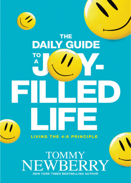

A

# THE **DAILY GUIDE TO**

**LIVING THE 4:8 PRINCIPLE** 

# **TOMMY**  $\exists \mathbf{W}$ T **NEW YORK TIMES BESTSELLING AUTHOR**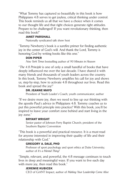"What Tommy has captured so beautifully in this book is how Philippians 4:8 serves to get joyless, critical thinking under control. This book reminds us all that we have a choice when it comes to our thought life and that right choices generate right attitudes. Prepare to be challenged! If you want revolutionary thinking, then read this book!"

#### **JANET PARSHALL**

Nationally syndicated talk show host

"Tommy Newberry's book is a surefire primer for finding authentic joy in the center of God's will. And thank the Lord, Tommy is honoring God by writing books like this one."

#### **DON PIPER**

*New York Times* bestselling author of *90 Minutes in Heaven*

"*The 4:8 Principle* is one of only a small handful of books that have deeply influenced me over the last decade. I have shared it with many friends and thousands of youth leaders across the country. In this book, Tommy Newberry amplifies his call for joy and shows us, step-by-step, how to activate 4:8 throughout our lives. Read this book and spread the joy!"

### **DR. JEANNE MAYO**

President of Youth Leader's Coach; youth communicator; author

"If we desire more joy, then we need to line up our thinking with the apostle Paul's advice in Philippians 4:8. Tommy coaches us to put this powerful principle into practice! With this book, you'll be inspired to leave your comfort zone behind and start living in the joy zone."

#### **BRYANT WRIGHT**

Senior pastor of Johnson Ferry Baptist Church; president of the Southern Baptist Convention

"This book is a powerful and practical resource. It is a must-read for anyone interested in improving their quality of life and their relationship with God."

### **GREGORY A. DALE, PHD**

Professor of sport psychology and sport ethics at Duke University; author of *It's a Mental Thing!*

"Simple, relevant, and powerful, the 4:8 message continues to touch lives in deep and meaningful ways. If you want to live each day with more joy, then read this book."

### **JEREMIE KUBICEK**

CEO of GiANT Impact; author of *Making Your Leadership Come Alive*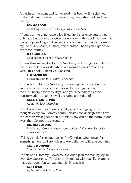"Straight to the point and fun to read, this book will inspire you to think differently about . . . everything! Read this book and feel the joy."

#### **JON GORDON**

Bestselling author of *The Energy Bus* and *The Seed*

"If you want to experience a joy-filled life, I challenge you to not only read but put into practice the wisdom in this book*.* Tommy has a way of provoking, challenging, and inspiring that has transformed my life as a husband, a father, and a pastor. I hope you experience the same journey."

#### **JEFF MULLEN**

Lead pastor at Point of Grace Church

"In less than six weeks, Tommy Newberry will change your life from the inside out. In a world where we measure transformation in years, this book is literally a Godsend."

#### **TIM SANDERS**

Bestselling author of *Today We Are Rich*

"In this book, Tommy Newberry makes experiencing joy simple and achievable for everyone. Follow Tommy's game plan—live the 4:8 Principle for forty days—and you'll be amazed at the transformation . . . and so will everyone around you!"

### **GREG L. JANTZ, PHD**

Author of *Battles Men Face*

"This book shows you how to guide, guard, and gauge your thoughts every day. Tommy communicates convincingly that if we can harness what goes on in our minds, joy can be the norm in our lives; the rule, not the exception."

### **DR. TIM ELMORE**

President of GrowingLeaders.com; author of *Nurturing the Leader within Your Child*

"This is a book for serious people—for Christians who hunger for 'something more' and are willing to exert effort to fulfill that yearning."

### **CECIL MURPHEY**

Coauthor of *90 Minutes in Heaven*

"In this book, Tommy Newberry lays out a plan for making joy an everyday experience. Timeless truths mixed with real-life examples make this book fun to read and highly practical."

### **EVA PIPER**

Author of *A Walk in the Dark*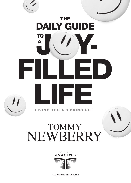

# NEWBERRY **TOMMY**



The Tyndale nonfiction imprint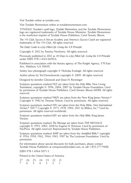Visit Tyndale online at tyndale.com.

Visit Tyndale Momentum online at tyndalemomentum.com.

*TYNDALE*, Tyndale's quill logo, *Tyndale Momentum*, and the Tyndale Momentum logo are registered trademarks of Tyndale House Ministries. Tyndale Momentum is the nonfiction imprint of Tyndale House Publishers, Carol Stream, Illinois.

*The 1% Club*, *Success Is Not an Accident*, and *America's Success Coach* are registered trademarks of The 1% Club. All rights reserved.

*The Daily Guide to a Joy-Filled Life: Living the 4:8 Principle*

Copyright © 2012 by Tommy Newberry. All rights reserved.

Previously published in 2012 as *40 Days to a Joy-Filled Life: Living the 4:8 Principle* under ISBN 978-1-4143-6690-6.

Published in association with the literary agency of The Knight Agency, 570 East Ave., Madison, GA 30650.

Smiley face photograph copyright © Nicholas Eveleigh. All rights reserved.

Author photo by Ted Domohowski copyright © 2009. All rights reserved.

Designed by Jennifer Ghionzoli and Dean H. Renninger

Scripture quotations marked NLT are taken from the *Holy Bible*, New Living Translation, copyright © 1996, 2004, 2007 by Tyndale House Foundation. Used by permission of Tyndale House Publishers, Carol Stream, Illinois 60188. All rights reserved.

Scripture quotations marked NKJV are taken from the New King James Version.<sup>®</sup> Copyright © 1982 by Thomas Nelson. Used by permission. All rights reserved.

Scripture quotations marked NIV are taken from the Holy Bible, *New International Version*,<sup>®</sup> *NIV*.<sup>®</sup> Copyright © 1973, 1978, 1984, 2011 by Biblica, Inc.<sup>®</sup> Used by permission. All rights reserved worldwide.

Scripture quotations marked KJV are taken from the *Holy Bible*, King James Version.

Scripture quotations marked *The Message* are taken from *THE MESSAGE*, copyright © 1993, 2002, 2018 by Eugene H. Peterson. Used by permission of NavPress. All rights reserved. Represented by Tyndale House Publishers.

Scripture quotations marked AMP are taken from the *Amplified Bible*, ® copyright © 1954, 1958, 1962, 1964, 1965, 1987 by The Lockman Foundation. Used by permission.

For information about special discounts for bulk purchases, please contact Tyndale House Publishers at csresponse@tyndale.com, or call 1-855-277-9400.

ISBN 978-1-4964-5071-5

Printed in the United States of America

27 26 25 24 23 22 21 7 6 5 4 3 2 1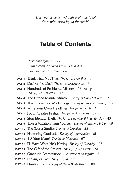*This book is dedicated with gratitude to all those who bring joy to the world.*

# **Table of Contents**

*[Acknowledgments](#page-7-0)* vii *[Introduction: I Should Have Had a 4:8](#page-9-0)* ix *[How to Use This Book](#page-13-0)* xiii

- **DAY 1** [Think This, Not That:](#page-15-0) *The Joy of Free Will* 1
- **DAY 2** Deal or No Deal: *[The Joy of Decisiveness](#page-21-0)* 7
- **DAY 3** Hundreds of Problems, Millions of Blessings: *The Joy of Perspective* 13
- **DAY 4** The Fifteen-Minute Miracle: *The Joy of Daily Solitude* 19
- **DAY 5** That's How God Made Dogs: *The Joy of Prudent Thinking* 25
- **DAY 6** Write Your Own Headlines: *The Joy of Goals* 31
- **DAY 7** Focus Creates Feeling: *The Joy of Awareness* 37
- **DAY 8** Stop Identity Theft: *The Joy of Knowing Whose You Are* 43
- **DAY 9** Take a Vacation from Yourself: *The Joy of Shaking It Up* 49
- **DAY 10** The Secret Studio: *The Joy of Creation* 55
- **DAY 11** Harboring Gratitude: *The Joy of Appreciation* 61
- **DAY 12** 4:8 Your Mate!: *The Joy of Marriage* 67
- **DAY 13** I'll Have What He's Having: *The Joy of Curiosity* 75
- **DAY 14** The Gift of the Present: *The Joy of Right Now* 81
- **DAY 15** Gratitude Schmatitude: *The Profile of an Ingrate* 87
- **DAY 16** Feeling vs. Fact: *The Joy of the Truth* 95
- **DAY 17** Hunting Rats: *The Joy of Being Battle Ready* 101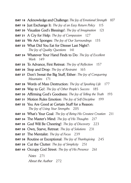- **DAY 18** Acknowledge and Challenge: *The Joy of Emotional Strength* 107
- **DAY 19** Just Exchange It: *The Joy of an Easy Return Policy* 115
- **DAY 20** Visualize God's Blessings!: *The Joy of Imagination* 121
- **DAY 21** A Cry for Help: *The Joy of Compassion* 127
- **DAY 22** We Are Sponges: *The Joy of Our Surroundings* 135
- **DAY 23** What Did You Eat for Dinner Last Night?: *The Joy of Quality Questions* 141
- **DAY 24** Whatever Your Hand Finds to Do: *The Joy of Excellent Work* 149
- **DAY 25** To Advance, First Retreat: *The Joy of Reflection* 157
- **DAY 26** Stop and Drop: *The Joy of Restraint* 165
- **DAY 27** Don't Sweat the Big Stuff, Either: *The Joy of Conquering Mountains* 171
- **DAY 28** Words of Mass Destruction: *The Joy of Speaking Life* 177
- **DAY 29** Way to Go!: *The Joy of Other People's Success* 185
- **DAY 30** Affirming God's Goodness: *The Joy of Telling the Truth* 193
- **DAY 31** Motion Rules Emotion: *The Joy of Self-Discipline* 199
- **DAY 32** You Are Good at Certain Stuff for a Reason: *The Joy of Using Your Strengths* 205
- **DAY 33** What's Your Goal: *The Joy of Being His Greatest Creation* 211
- **DAY 34** The Master's Mind: *The Joy of His Thoughts* 217
- **DAY 35** God Will Be Cheering!: *The Joy of Discovery* 223
- **DAY 36** Own, Starve, Retreat: *The Joy of Solutions* 231
- **DAY 37** The Mentalist: *The Joy of Focus* 239
- **DAY 38** Routine or Exceptional: *The Joy of Thanksgiving* 245
- **DAY 39** Cut the Clutter: *The Joy of Simplicity* 251
- **DAY 40** Occupy God Street: *The Joy of His Presence* 261

*Notes* 271 *About the Author* 272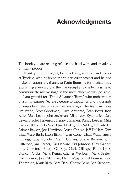# <span id="page-7-0"></span>**Acknowledgments**

The book you are reading reflects the hard work and creativity of many people!

Thank you to my agent, Pamela Harty, and to Carol Traver at Tyndale, who believed in this particular project and helped make it happen. Big thanks to Karin Buursma for meticulously examining every word in the manuscript and challenging me to communicate my message in the most effective way possible.

I am grateful for "The 4:8 Launch Team," who mobilized in unison to expose *The 4:8 Principle* to thousands and thousands of important relationships five years ago. The team includes Jim Wade, Scott Goodman, Dave Armento, Sean Boyd, Ron Raitz, Matt Levin, John Seckman, Mike Ivey, Kyle Jenks, Dale Lewis, Bradley Fulkerson, Denny Summers, Randy Leeder, Mike Campbell, Cathy LaMon, Quill Healey, Ken Ashley, Ed Easterlin, Palmer Bayless, Joe Hamilton, Bruce Carlisle, Jeff DeHart, Tom Elias, Ware Bush, Jason Bilotti, Ryan Cone, Chad Wade, Steve Owings, Clay Rolader, Matt Hawkins, Shane Benson, John Patterson, Jim Barber, Gil Harvard, Sid Johnson, Clay Gilbert, Judy Crawford, Sharp Gillespy, Clark Gillespy, Frank Lyles, Duncan Gibbs, Mark Kemp, Charles Wellborn, Mark Seeley, Hal Grayson, John McIntyre, Darin Wiggins, Joel Benson, Todd Thompson, Mark Riley, Bert Clark, Charlie Bello, Ben Stephens,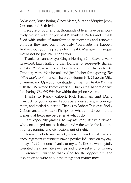Bo Jackson, Bruce Boring, Cindy Martin, Suzanne Murphy, Jenny Griscom, and Beth Irvin.

Because of your efforts, thousands of lives have been positively blessed with the joy of 4:8 Thinking. Notes and e-mails filled with stories of transformed relationships and renewed attitudes flow into our office daily. You made this happen. And without your help spreading the 4:8 Message, this sequel would not be possible. Thank you.

Thanks to Jeanne Mayo, Ginger Herring, Curt Beavers, Mark Crawford, Lisa Thrift, and Lars Dunbar for repeatedly sharing *The 4:8 Principle* with your best relationships. Thanks to Bill Orender, Mark Marchesani, and Jim Kocher for exposing *The 4:8 Principle* to Primerica. Thanks to Hunter Hill, Chaplain Mike Shannon, and Operation Gratitude for sharing *The 4:8 Principle* with the US Armed Forces overseas. Thanks to Chandra Adams for sharing *The 4:8 Principle* within the prison system.

Thanks to Randy Gilbert, Rick Frishman, and David Hancock for your counsel. I appreciate your advice, encouragement, and tactical expertise. Thanks to Robert Truelove, Shelly Guberman, and Hudson Phillips for what you do behind the scenes that helps me be better at what I do.

I am especially grateful to my assistant, Becky Kirkman, who encouraged me to sit down and write while she kept the business running and distractions out of sight.

Eternal thanks to my parents, whose unconditional love and encouragement continue to have a positive influence on my dayto-day life. Continuous thanks to my wife, Kristin, who joyfully tolerated the many late evenings and long weekends of writing.

Foremost, I want to thank God for the opportunity and inspiration to write about the things that matter most.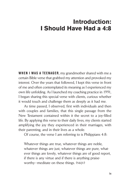# <span id="page-9-0"></span>**Introduction: I Should Have Had a 4:8**

**WHEN I WAS A TEENAGER**, my grandmother shared with me a certain Bible verse that grabbed my attention and provoked my interest. Over the years that followed, I kept this verse in front of me and often contemplated its meaning as I experienced my own life unfolding. As I launched my coaching practice in 1991, I began sharing this special verse with clients, curious whether it would touch and challenge them as deeply as it had me.

As time passed, I observed, first with individuals and then with couples and families, that this single passage from the New Testament contained within it the secret to a joy-filled life. By applying this verse to their daily lives, my clients started amplifying the joy they experienced in their marriages, with their parenting, and in their lives as a whole.

Of course, the verse I am referring to is Philippians 4:8:

Whatever things are true, whatever things are noble, whatever things are just, whatever things are pure, whatever things are lovely, whatever things are of good report, if there is any virtue and if there is anything praiseworthy—meditate on these things. (nkjv)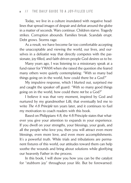Today, we live in a culture inundated with negative headlines that spread images of despair and defeat around the globe in a matter of seconds. Wars continue. Children starve. Tragedy strikes. Corruption abounds. Families break. Scandals erupt. Debt grows. Storms rage.

As a result, we have become far too comfortable accepting the unacceptable and viewing the world, our lives, and ourselves in a defeatist way that directly competes with the passionate, joy-filled, and faith-driven people God desires us to be.

Many years ago, I was listening to a missionary speak at a fund-raiser for YWAM when she raised the question she feared many others were quietly contemplating: "With so many bad things going on in the world, how could there be a God?"

My impulsive response, which I blurted out, surprised me and caught the speaker off guard: "With so many good things going on in the world, how could there *not* be a God?"

I believe it was that very moment, inspired by God and nurtured by my grandmother Lilli, that eventually led me to write *The 4:8 Principle* ten years later, and it continues to fuel my motivation to coach readers with this book.

Based on Philippians 4:8, the 4:8 Principle states that whatever you give your attention to expands in your experience. If you dwell on your strengths, your blessings, your goals, and all the people who love you, then you will attract even more blessings, even more love, and even more accomplishments. It's a powerful truth. While trials and tribulations are permanent fixtures of this world, our attitudes toward them can help soothe the wounds and bring about solutions while glorifying our heavenly Father in the process.

In this book, I will show you how you can be the catalyst for "stubborn joy" throughout your life. But be forewarned: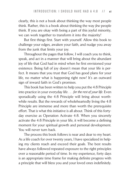clearly, this is not a book about thinking the way most people think. Rather, this is a book about thinking the way *few* people think. If you are okay with being a part of this joyful minority, we can work together to transform it into the majority!

But first things first. Start with yourself. Allow this book to challenge your edges, awaken your faith, and nudge you away from the junk that limits your joy.

Throughout the pages that follow, I will coach you to think, speak, and act in a manner that will bring about the abundant joy of life that God had in mind when he first envisioned your existence. Being full of joy doesn't mean that your life is perfect. It means that you trust that God has good plans for your life, no matter what is happening right now! It's an outward sign of inward faith in God's promises.

This book has been written to help you put the 4:8 Principle into practice in your everyday life . . . *for the rest of your life.* Even sporadically using the 4:8 Principle will bring about worthwhile results. But the rewards of wholeheartedly living the 4:8 Principle are immense and more than worth the prerequisite effort. That is what this initiative is all about. Think of this fortyday exercise as Operation Activate 4:8. When you sincerely activate the 4:8 Principle in your life, it will become a defining moment for your spiritual growth and personal development. You will never turn back.

The process this book follows is near and dear to my heart. As a life coach for over twenty years, I have specialized in helping my clients reach and exceed their goals. The best results have always followed repeated exposure to the right principles over a reasonable period of time. In my experience, forty days is an appropriate time frame for making definite progress with a principle that will bless you and your loved ones indefinitely.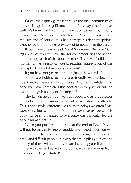Of course, a quick glimpse through the Bible reminds us of the special spiritual significance to the forty-day time frame as well. We know that Noah's transformation came through forty days of rain, Moses spent forty days on Mount Sinai receiving the law, and of course Jesus had perhaps his deepest spiritual experience withstanding forty days of temptation in the desert.

If you have already read *The 4:8 Principle: The Secret to a Joy-Filled Life*, you will love the reinforcement and the actionoriented approach of this book. Better still, you will build rapid momentum as a result of your preexisting appreciation of this principle. Think of it as your *joymentum*!

If you have not yet read the original 4:8, you will find the book you are holding to be a user-friendly way to become fluent with a life-enhancing principle. And I am confident that once you have completed this boot camp for joy, you will be inspired to grab a copy of the original!

The key distinction between this book and its predecessor is the obvious emphasis in the sequel on activating this attitude. This is not a trivial difference. As human beings we often *know what to do*, but we frequently do not *do what we know*. This book has been organized to overcome this particular feature of our human nature.

When you put this book aside at the end of Day 40, you will not be magically free of trouble and tragedy, but you will be equipped to process the world, including the desperate times and difficult people, in a way that multiplies your joy and the joy of those with whom you are investing your life.

Turn to the next page to find out how to get the most from this book. Let's get started!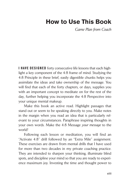# <span id="page-13-0"></span>**How to Use This Book**

*Game Plan from Coach*

**I HAVE DESIGNED** forty consecutive life lessons that each highlight a key component of the 4:8 frame of mind. Studying the 4:8 Principle in these brief, easily digestible chunks helps you assimilate the ideas and take ownership of the message. You will find that each of the forty chapters, or days, supplies you with an important concept to meditate on for the rest of the day, further helping you incorporate the 4:8 Perspective into your unique mental makeup.

Make this book an active read. Highlight passages that stand out or seem to be speaking directly to you. Make notes in the margin when you read an idea that is particularly relevant to your circumstances. Paraphrase inspiring thoughts in your own words. Make the 4:8 Message *your message* to the world!

Following each lesson or meditation, you will find an "Activate 4:8" drill followed by an "Extra Mile" assignment. These exercises are drawn from mental drills that I have used for more than two decades in my private coaching practice. They are intended to sharpen your thinking, illuminate blind spots, and discipline your mind so that you are ready to experience maximum joy. Investing the time and thought power to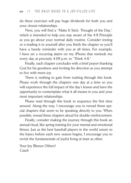do these exercises will pay huge dividends for both you and your closest relationships.

Next, you will find a "Make It Stick: Thought of the Day," which is intended to help you stay aware of the 4:8 Principle as you go about your normal daily routine. Consider texting or e-mailing it to yourself after you finish the chapter so you'll have a handy reminder with you at all times. For example, I have set a recurring alarm on my iPhone that reminds me every day at precisely 4:08 p.m. to "Think 4:8."

Finally, each chapter concludes with a brief prayer thanking God for his goodness and inviting his direction as you attempt to live with more joy.

There is nothing to gain from rushing through this book. Please work through the chapters one day at a time so you will experience the full impact of the day's lesson and have the opportunity to contemplate what it all means to you and your most important relationships.

Please read through this book in sequence the first time around. Along the way, I encourage you to reread those special chapters that seem to be speaking directly to you. When possible, reread these chapters aloud for double reinforcement.

Finally, consider making the journey through this book an annual ritual, like spring training for your mental and emotional fitness. Just as the best baseball players in the world return to the basics before each new season begins, I encourage you to revisit the fundamentals of joyful living at least as often.

Your Joy Blesses Others! *Coach*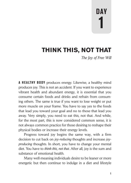# **DAY 1**

# <span id="page-15-0"></span>**THINK THIS, NOT THAT**

*The Joy of Free Will*

**A HEALTHY BODY** produces energy. Likewise, a healthy mind produces joy. This is not an accident. If you want to experience vibrant health and abundant energy, it is essential that you consume certain foods and drinks and refrain from consuming others. The same is true if you want to lose weight or put more muscle on your frame. You have to say yes to the foods that lead you toward your goal and no to those that lead you away. Very simply, you need to eat this, not that. And while, for the most part, this is now considered common sense, it is not always common practice for those desiring to reshape their physical bodies or increase their energy levels.

Progress toward joy begins the same way, with a firm decision to cut back on *joy-reducing* thoughts and increase *joyproducing* thoughts. In short, you have to change your mental diet. You have to *think this, not that*. After all, joy is the sum and substance of emotional health.

Many well-meaning individuals desire to be leaner or more energetic but then continue to indulge in a diet and lifestyle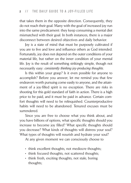that takes them in the opposite direction. Consequently, they do not reach their goal. Many with the goal of increased joy run into the same predicament: they keep consuming a mental diet mismatched with their goal. In both instances, there is a major disconnect between desired objectives and daily behavior.

Joy is a state of mind that must be purposely cultivated if you are to live and love and influence others as God intended. Fortunately, joy does not depend on the outer conditions of your material life, but rather on the inner condition of your mental life. Joy is the result of something strikingly simple, though not necessarily easy: *consistently thinking joy-producing thoughts.*

Is this within your grasp? Is it even possible for anyone to accomplish? Before you answer, let me remind you that few endeavors worth pursuing come easily to anyone, and the attainment of a joy-filled spirit is no exception. There are risks in shooting for this gold standard of faith in action. There is a high price to be paid, and it must be paid in advance. Certain comfort thoughts will need to be relinquished. Counterproductive habits will need to be abandoned. Tenured excuses must be surrendered.

Since you are free to choose what you think about, and you have billions of options, what specific thoughts should you increase to become joy filled? What specific thoughts should you decrease? What kinds of thoughts will distress your soul? What types of thoughts will nourish and hydrate your soul?

At any given moment we can consciously choose to

- think excellent thoughts, not mediocre thoughts;
- think focused thoughts, not scattered thoughts;
- think fresh, exciting thoughts, not stale, boring thoughts;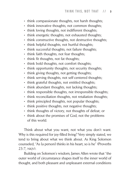- think compassionate thoughts, not harsh thoughts;
- think innovative thoughts, not common thoughts;
- think loving thoughts, not indifferent thoughts;
- think energetic thoughts, not exhausted thoughts;
- think constructive thoughts, not destructive thoughts;
- think helpful thoughts, not hurtful thoughts;
- think successful thoughts, not failure thoughts;
- think faith thoughts, not fear thoughts;
- think fit thoughts, not fat thoughts;
- think bold thoughts, not comfort thoughts;
- think opportunity thoughts, not security thoughts;
- think giving thoughts, not getting thoughts;
- think serving thoughts, not self-centered thoughts;
- think grateful thoughts, not entitled thoughts;
- think abundant thoughts, not lacking thoughts;
- think responsible thoughts, not irresponsible thoughts;
- think reconciliation thoughts, not retaliation thoughts;
- think principled thoughts, not popular thoughts;
- think positive thoughts, not negative thoughts;
- think thoughts of victory, not thoughts of defeat; or
- think about the promises of God, not the problems of this world.

Think about what you want, not what you don't want. Why is this required for joy-filled living? Very simply stated, we tend to bring about what we think about. As King Solomon counseled, "As [a person] thinks in his heart, so is he" (Proverbs 23:7, nkjv).

Building on Solomon's wisdom, James Allen wrote that "the outer world of circumstance shapes itself to the inner world of thought, and both pleasant and unpleasant external conditions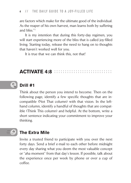are factors which make for the ultimate good of the individual. As the reaper of his own harvest, man learns both by suffering and bliss."1

It is my intention that during this forty-day regimen, you will start experiencing more of the bliss that is called joy-filled living. Starting today, release the need to hang on to thoughts that haven't worked well for you.

It is true that we can think this, not that!

## **ACTIVATE 4:8**

# $\tilde{\mathbf{u}}$

# **Drill #1**

Think about the person you intend to become. Then on the following page, identify a few specific thoughts that are incompatible (Not That column) with that vision. In the lefthand column, identify a handful of thoughts that are compatible (Think This column) and helpful. At the bottom, write a short sentence indicating your commitment to improve your thinking.

## **The Extra Mile**

Invite a trusted friend to participate with you over the next forty days. Send a brief e-mail to each other before midnight every day sharing what you deem the most valuable concept or "aha moment" from that day's lesson. If possible, talk about the experience once per week by phone or over a cup of coffee.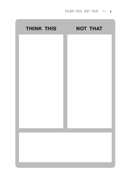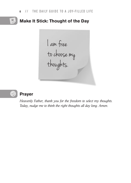



I am free to choose my thoughts.



# **Prayer**

*Heavenly Father, thank you for the freedom to select my thoughts. Today, nudge me to think the right thoughts all day long. Amen.*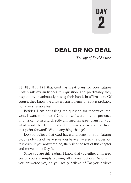# **DAY 2**

# <span id="page-21-0"></span>**DEAL OR NO DEAL**

*The Joy of Decisiveness*

**DO YOU BELIEVE** that God has great plans for your future? I often ask my audiences this question, and predictably they respond by unanimously raising their hands in affirmation. Of course, they know the answer I am looking for, so it is probably not a very reliable test.

Besides, I am not asking the question for theoretical reasons. I want to know: if God himself were in your presence in physical form and directly affirmed his great plans for you, what would be different about the way you would live from that point forward? Would anything change?

Do you believe that God has grand plans for your future? Stop reading, and make sure you have answered this question truthfully. If you answered no, then skip the rest of this chapter and move on to Day 3.

Since you are still reading, I know that you either answered yes or you are simply blowing off my instructions. Assuming you answered yes, do you really believe it? Do you believe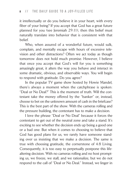it intellectually or do you believe it in your heart, with every fiber of your being? If you accept that God has a great future planned for you (see Jeremiah 29:11), then this belief must naturally translate into behavior that is consistent with that belief.

Who, when assured of a wonderful future, would sulk, complain, and mentally escape with hours of excessive television and other distractions? Often we act today as though tomorrow does not hold much promise. However, I believe that once you accept that God's will for you is something amazingly great, it alters the way you behave and interact in some dramatic, obvious, and observable ways. You will begin to respond with gratitude. Do you agree?

In the popular TV game show hosted by Howie Mandel, there's always a moment when the catchphrase is spoken: "Deal or No Deal?" This is the moment of truth. Will the contestant take the money offered by the "banker" or, instead, choose to bet on the unknown amount of cash in the briefcase? This is the best part of the show. With the cameras rolling and the pressure building, the contestant has to make a decision.

I love the phrase "Deal or No Deal" because it forces the contestant to get out of the neutral zone and take a stand. It's exciting to see whether the decision ends up being a good one or a bad one. But when it comes to choosing to believe that God has good plans for us, we rarely have someone standing over us insisting that we make a decision. The same is true with choosing gratitude, the cornerstone of 4:8 Living. Consequently, it is too easy to perpetually postpone this lifealtering decision. With no cameras rolling and no host prompting us, we freeze, we stall, and we rationalize, but we do not respond to the call of "Deal or No Deal." Instead, we linger in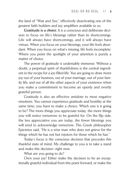the land of "Wait and See," effectively deactivating one of the greatest faith builders and joy amplifiers available to us.

Gratitude is a *choice.* It is a conscious and deliberate decision to focus on life's blessings rather than its shortcomings. Life will always have shortcomings, and it will always have virtues. When you focus on your blessings, your life feels abundant. When you focus on what's missing, life feels incomplete. Where you point the spotlight of your attention is purely a matter of choice

The power of gratitude is undeniably immense. Without a doubt, a perpetual spirit of thankfulness is the central ingredient in the recipe for a joy-filled life. You are going to draw more joy out of your business, out of your marriage, out of your family life, and out of all the other aspects of your existence when you make a commitment to become an openly and overtly grateful person.

Gratitude is also an effective antidote to most negative emotions. You cannot experience gratitude and hostility at the same time; you have to make a choice. Which one is it going to be? The more things you appreciate today, the more things you will notice tomorrow to be grateful for. On the flip side, the less appreciative you are today, the fewer blessings you will tend to acknowledge tomorrow. The Greek philosopher Epictetus said, "He is a wise man who does not grieve for the things which he has not but rejoices for those which he has."

Today's focus is the conscious decision that precedes this thankful state of mind. My challenge to you is to take a stand and make this decision—right now.

What are you going to do?

Own your joy! Either make the decision to be an exceptionally grateful individual from this point forward, or make the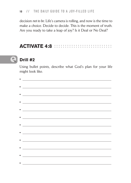decision not to be. Life's camera is rolling, and now is the time to make a choice. Decide to decide. This is the moment of truth. Are you ready to take a leap of joy? Is it Deal or No Deal?

#### **ACTIVATE 4:8 ::::::::::**  $1.1.1.1.1$



### Drill #2

Using bullet points, describe what God's plan for your life might look like.

| $\bullet$ $\hspace{0.0cm}$                                                                                                                                                                                                                                                                                                                                                                                                                                                             |
|----------------------------------------------------------------------------------------------------------------------------------------------------------------------------------------------------------------------------------------------------------------------------------------------------------------------------------------------------------------------------------------------------------------------------------------------------------------------------------------|
|                                                                                                                                                                                                                                                                                                                                                                                                                                                                                        |
|                                                                                                                                                                                                                                                                                                                                                                                                                                                                                        |
|                                                                                                                                                                                                                                                                                                                                                                                                                                                                                        |
| $\bullet$                                                                                                                                                                                                                                                                                                                                                                                                                                                                              |
|                                                                                                                                                                                                                                                                                                                                                                                                                                                                                        |
|                                                                                                                                                                                                                                                                                                                                                                                                                                                                                        |
| $\bullet$ $\hspace{0.0cm}$                                                                                                                                                                                                                                                                                                                                                                                                                                                             |
|                                                                                                                                                                                                                                                                                                                                                                                                                                                                                        |
|                                                                                                                                                                                                                                                                                                                                                                                                                                                                                        |
|                                                                                                                                                                                                                                                                                                                                                                                                                                                                                        |
|                                                                                                                                                                                                                                                                                                                                                                                                                                                                                        |
|                                                                                                                                                                                                                                                                                                                                                                                                                                                                                        |
|                                                                                                                                                                                                                                                                                                                                                                                                                                                                                        |
|                                                                                                                                                                                                                                                                                                                                                                                                                                                                                        |
|                                                                                                                                                                                                                                                                                                                                                                                                                                                                                        |
|                                                                                                                                                                                                                                                                                                                                                                                                                                                                                        |
|                                                                                                                                                                                                                                                                                                                                                                                                                                                                                        |
|                                                                                                                                                                                                                                                                                                                                                                                                                                                                                        |
|                                                                                                                                                                                                                                                                                                                                                                                                                                                                                        |
|                                                                                                                                                                                                                                                                                                                                                                                                                                                                                        |
|                                                                                                                                                                                                                                                                                                                                                                                                                                                                                        |
|                                                                                                                                                                                                                                                                                                                                                                                                                                                                                        |
|                                                                                                                                                                                                                                                                                                                                                                                                                                                                                        |
| $\bullet \underbrace{\hspace{25mm}}_{\hspace{25mm}}\underbrace{\hspace{25mm}}_{\hspace{25mm}}\underbrace{\hspace{25mm}}_{\hspace{25mm}}\underbrace{\hspace{25mm}}_{\hspace{25mm}}\,\underbrace{\hspace{25mm}}_{\hspace{25mm}}\,\underbrace{\hspace{25mm}}_{\hspace{25mm}}\,\underbrace{\hspace{25mm}}_{\hspace{25mm}}\,\underbrace{\hspace{25mm}}_{\hspace{25mm}}\,\underbrace{\hspace{25mm}}_{\hspace{25mm}}\,\underbrace{\hspace{25mm}}_{\hspace{25mm}}\,\underbrace{\hspace{25mm}}$ |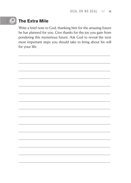# $\equiv Q$

# **The Extra Mile**

Write a brief note to God, thanking him for the amazing future he has planned for you. Give thanks for the joy you gain from pondering this mysterious future. Ask God to reveal the next most important steps you should take to bring about his will for your life.